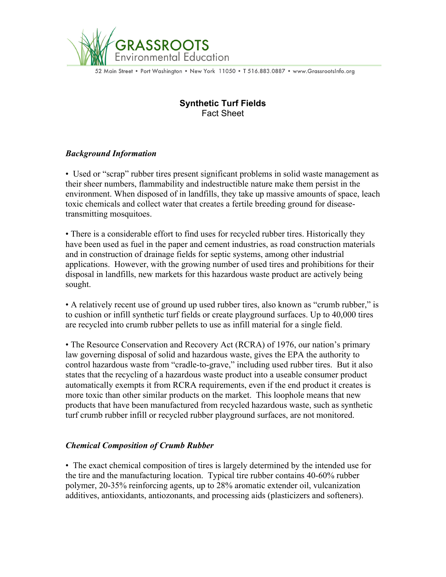

52 Main Street • Port Washington • New York 11050 • T 516.883.0887 • www.GrassrootsInfo.org

# **Synthetic Turf Fields** Fact Sheet

## *Background Information*

• Used or "scrap" rubber tires present significant problems in solid waste management as their sheer numbers, flammability and indestructible nature make them persist in the environment. When disposed of in landfills, they take up massive amounts of space, leach toxic chemicals and collect water that creates a fertile breeding ground for diseasetransmitting mosquitoes.

• There is a considerable effort to find uses for recycled rubber tires. Historically they have been used as fuel in the paper and cement industries, as road construction materials and in construction of drainage fields for septic systems, among other industrial applications. However, with the growing number of used tires and prohibitions for their disposal in landfills, new markets for this hazardous waste product are actively being sought.

• A relatively recent use of ground up used rubber tires, also known as "crumb rubber," is to cushion or infill synthetic turf fields or create playground surfaces. Up to 40,000 tires are recycled into crumb rubber pellets to use as infill material for a single field.

• The Resource Conservation and Recovery Act (RCRA) of 1976, our nation's primary law governing disposal of solid and hazardous waste, gives the EPA the authority to control hazardous waste from "cradle-to-grave," including used rubber tires. But it also states that the recycling of a hazardous waste product into a useable consumer product automatically exempts it from RCRA requirements, even if the end product it creates is more toxic than other similar products on the market. This loophole means that new products that have been manufactured from recycled hazardous waste, such as synthetic turf crumb rubber infill or recycled rubber playground surfaces, are not monitored.

## *Chemical Composition of Crumb Rubber*

• The exact chemical composition of tires is largely determined by the intended use for the tire and the manufacturing location. Typical tire rubber contains 40-60% rubber polymer, 20-35% reinforcing agents, up to 28% aromatic extender oil, vulcanization additives, antioxidants, antiozonants, and processing aids (plasticizers and softeners).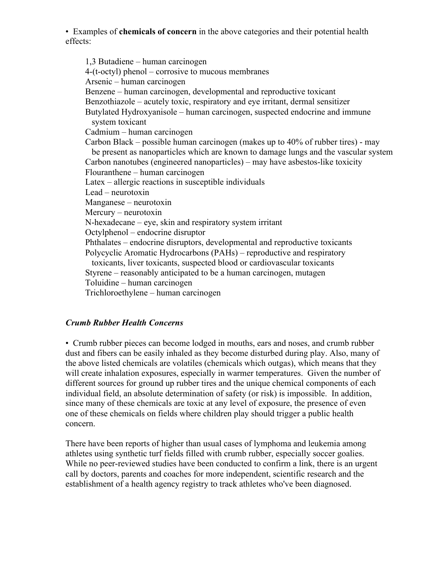• Examples of **chemicals of concern** in the above categories and their potential health effects:

1,3 Butadiene – human carcinogen 4-(t-octyl) phenol – corrosive to mucous membranes Arsenic – human carcinogen Benzene – human carcinogen, developmental and reproductive toxicant Benzothiazole – acutely toxic, respiratory and eye irritant, dermal sensitizer Butylated Hydroxyanisole – human carcinogen, suspected endocrine and immune system toxicant Cadmium – human carcinogen Carbon Black – possible human carcinogen (makes up to 40% of rubber tires) - may be present as nanoparticles which are known to damage lungs and the vascular system Carbon nanotubes (engineered nanoparticles) – may have asbestos-like toxicity Flouranthene – human carcinogen Latex – allergic reactions in susceptible individuals Lead – neurotoxin Manganese – neurotoxin Mercury – neurotoxin N-hexadecane – eye, skin and respiratory system irritant Octylphenol – endocrine disruptor Phthalates – endocrine disruptors, developmental and reproductive toxicants Polycyclic Aromatic Hydrocarbons (PAHs) – reproductive and respiratory toxicants, liver toxicants, suspected blood or cardiovascular toxicants Styrene – reasonably anticipated to be a human carcinogen, mutagen Toluidine – human carcinogen Trichloroethylene – human carcinogen

## *Crumb Rubber Health Concerns*

• Crumb rubber pieces can become lodged in mouths, ears and noses, and crumb rubber dust and fibers can be easily inhaled as they become disturbed during play. Also, many of the above listed chemicals are volatiles (chemicals which outgas), which means that they will create inhalation exposures, especially in warmer temperatures. Given the number of different sources for ground up rubber tires and the unique chemical components of each individual field, an absolute determination of safety (or risk) is impossible. In addition, since many of these chemicals are toxic at any level of exposure, the presence of even one of these chemicals on fields where children play should trigger a public health concern.

There have been reports of higher than usual cases of lymphoma and leukemia among athletes using synthetic turf fields filled with crumb rubber, especially soccer goalies. While no peer-reviewed studies have been conducted to confirm a link, there is an urgent call by doctors, parents and coaches for more independent, scientific research and the establishment of a health agency registry to track athletes who've been diagnosed.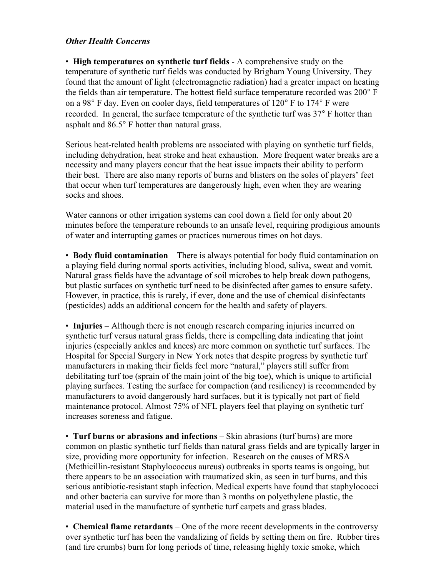### *Other Health Concerns*

• **High temperatures on synthetic turf fields** - A comprehensive study on the temperature of synthetic turf fields was conducted by Brigham Young University. They found that the amount of light (electromagnetic radiation) had a greater impact on heating the fields than air temperature. The hottest field surface temperature recorded was 200° F on a 98° F day. Even on cooler days, field temperatures of 120° F to 174° F were recorded. In general, the surface temperature of the synthetic turf was 37° F hotter than asphalt and 86.5° F hotter than natural grass.

Serious heat-related health problems are associated with playing on synthetic turf fields, including dehydration, heat stroke and heat exhaustion. More frequent water breaks are a necessity and many players concur that the heat issue impacts their ability to perform their best. There are also many reports of burns and blisters on the soles of players' feet that occur when turf temperatures are dangerously high, even when they are wearing socks and shoes.

Water cannons or other irrigation systems can cool down a field for only about 20 minutes before the temperature rebounds to an unsafe level, requiring prodigious amounts of water and interrupting games or practices numerous times on hot days.

• **Body fluid contamination** – There is always potential for body fluid contamination on a playing field during normal sports activities, including blood, saliva, sweat and vomit. Natural grass fields have the advantage of soil microbes to help break down pathogens, but plastic surfaces on synthetic turf need to be disinfected after games to ensure safety. However, in practice, this is rarely, if ever, done and the use of chemical disinfectants (pesticides) adds an additional concern for the health and safety of players.

• **Injuries** – Although there is not enough research comparing injuries incurred on synthetic turf versus natural grass fields, there is compelling data indicating that joint injuries (especially ankles and knees) are more common on synthetic turf surfaces. The Hospital for Special Surgery in New York notes that despite progress by synthetic turf manufacturers in making their fields feel more "natural," players still suffer from debilitating turf toe (sprain of the main joint of the big toe), which is unique to artificial playing surfaces. Testing the surface for compaction (and resiliency) is recommended by manufacturers to avoid dangerously hard surfaces, but it is typically not part of field maintenance protocol. Almost 75% of NFL players feel that playing on synthetic turf increases soreness and fatigue.

• **Turf burns or abrasions and infections** – Skin abrasions (turf burns) are more common on plastic synthetic turf fields than natural grass fields and are typically larger in size, providing more opportunity for infection. Research on the causes of MRSA (Methicillin-resistant Staphylococcus aureus) outbreaks in sports teams is ongoing, but there appears to be an association with traumatized skin, as seen in turf burns, and this serious antibiotic-resistant staph infection. Medical experts have found that staphylococci and other bacteria can survive for more than 3 months on polyethylene plastic, the material used in the manufacture of synthetic turf carpets and grass blades.

• **Chemical flame retardants** – One of the more recent developments in the controversy over synthetic turf has been the vandalizing of fields by setting them on fire. Rubber tires (and tire crumbs) burn for long periods of time, releasing highly toxic smoke, which